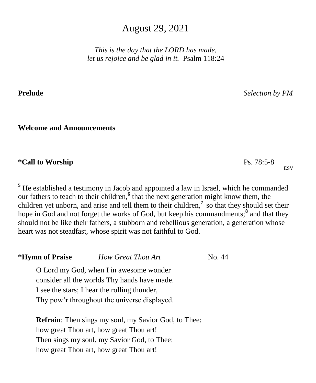# August 29, 2021

*This is the day that the LORD has made, let us rejoice and be glad in it.* Psalm 118:24

**Welcome and Announcements**

**\*Call to Worship** Ps. 78:5-8

**<sup>5</sup>** He established a testimony in Jacob and appointed a law in Israel, which he commanded our fathers to teach to their children,**<sup>6</sup>** that the next generation might know them, the children yet unborn, and arise and tell them to their children,**<sup>7</sup>** so that they should set their hope in God and not forget the works of God, but keep his commandments;<sup>8</sup> and that they should not be like their fathers, a stubborn and rebellious generation, a generation whose heart was not steadfast, whose spirit was not faithful to God.

*\****Hymn of Praise** *How Great Thou Art* **No. 44** 

O Lord my God, when I in awesome wonder consider all the worlds Thy hands have made. I see the stars; I hear the rolling thunder, Thy pow'r throughout the universe displayed.

**Refrain**: Then sings my soul, my Savior God, to Thee: how great Thou art, how great Thou art! Then sings my soul, my Savior God, to Thee: how great Thou art, how great Thou art!

**Prelude** *Selection by PM*

**ESV**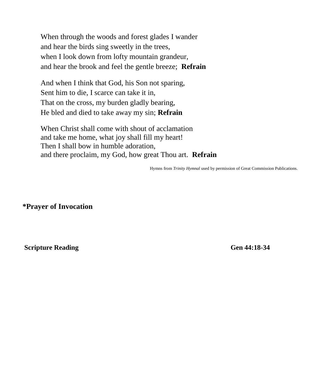When through the woods and forest glades I wander and hear the birds sing sweetly in the trees, when I look down from lofty mountain grandeur, and hear the brook and feel the gentle breeze; **Refrain**

And when I think that God, his Son not sparing, Sent him to die, I scarce can take it in, That on the cross, my burden gladly bearing, He bled and died to take away my sin; **Refrain**

When Christ shall come with shout of acclamation and take me home, what joy shall fill my heart! Then I shall bow in humble adoration, and there proclaim, my God, how great Thou art. **Refrain**

Hymns from *Trinity Hymnal* used by permission of Great Commission Publications.

**\*Prayer of Invocation** 

**Scripture Reading Community Community Community Community Community Community Community Community Community Community Community Community Community Community Community Community Community Community Community Community Com**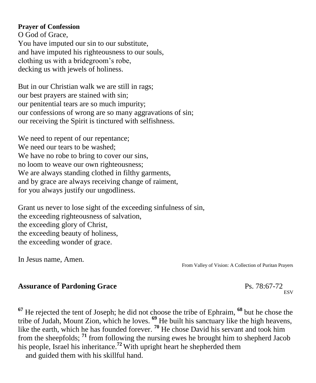### **Prayer of Confession**

O God of Grace, You have imputed our sin to our substitute, and have imputed his righteousness to our souls, clothing us with a bridegroom's robe, decking us with jewels of holiness.

But in our Christian walk we are still in rags; our best prayers are stained with sin; our penitential tears are so much impurity; our confessions of wrong are so many aggravations of sin; our receiving the Spirit is tinctured with selfishness.

We need to repent of our repentance; We need our tears to be washed: We have no robe to bring to cover our sins, no loom to weave our own righteousness; We are always standing clothed in filthy garments, and by grace are always receiving change of raiment, for you always justify our ungodliness.

Grant us never to lose sight of the exceeding sinfulness of sin, the exceeding righteousness of salvation, the exceeding glory of Christ, the exceeding beauty of holiness, the exceeding wonder of grace.

In Jesus name, Amen.

From Valley of Vision: A Collection of Puritan Prayers

### **Assurance of Pardoning Grace** Ps. 78:67-72

ESV

**<sup>67</sup>** He rejected the tent of Joseph; he did not choose the tribe of Ephraim, **<sup>68</sup>** but he chose the tribe of Judah, Mount Zion, which he loves. **<sup>69</sup>** He built his sanctuary like the high heavens, like the earth, which he has founded forever. **<sup>70</sup>** He chose David his servant and took him from the sheepfolds; **<sup>71</sup>** from following the nursing ewes he brought him to shepherd Jacob his people, Israel his inheritance.**<sup>72</sup>** With upright heart he shepherded them and guided them with his skillful hand.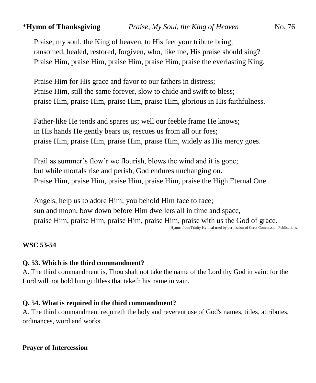Praise, my soul, the King of heaven, to His feet your tribute bring; ransomed, healed, restored, forgiven, who, like me, His praise should sing? Praise Him, praise Him, praise Him, praise Him, praise the everlasting King.

Praise Him for His grace and favor to our fathers in distress; Praise Him, still the same forever, slow to chide and swift to bless; praise Him, praise Him, praise Him, praise Him, glorious in His faithfulness.

Father-like He tends and spares us; well our feeble frame He knows; in His hands He gently bears us, rescues us from all our foes; praise Him, praise Him, praise Him, praise Him, widely as His mercy goes.

Frail as summer's flow'r we flourish, blows the wind and it is gone; but while mortals rise and perish, God endures unchanging on. Praise Him, praise Him, praise Him, praise Him, praise the High Eternal One.

Angels, help us to adore Him; you behold Him face to face; sun and moon, bow down before Him dwellers all in time and space, praise Him, praise Him, praise Him, praise Him, praise with us the God of grace. Hymns from Trinity Hymnal used by permission of Great Commission Publications.

# **WSC 53-54**

# **Q. 53. Which is the third commandment?**

A. The third commandment is, Thou shalt not take the name of the Lord thy God in vain: for the Lord will not hold him guiltless that taketh his name in vain.

# **Q. 54. What is required in the third commandment?**

A. The third commandment requireth the holy and reverent use of God's names, titles, attributes, ordinances, word and works.

### **Prayer of Intercession**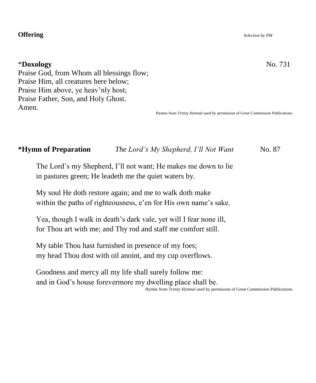#### **Offering** *Selection by PM*

\***Doxology** No. 731 Praise God, from Whom all blessings flow; Praise Him, all creatures here below; Praise Him above, ye heav'nly host; Praise Father, Son, and Holy Ghost. Amen.

Hymns from *Trinity Hymnal* used by permission of Great Commission Publications.

# **\*Hymn of Preparation** *The Lord's My Shepherd, I'll Not Want* No. 87

The Lord's my Shepherd, I'll not want; He makes me down to lie in pastures green; He leadeth me the quiet waters by.

My soul He doth restore again; and me to walk doth make within the paths of righteousness, e'en for His own name's sake.

Yea, though I walk in death's dark vale, yet will I fear none ill, for Thou art with me; and Thy rod and staff me comfort still.

My table Thou hast furnished in presence of my foes; my head Thou dost with oil anoint, and my cup overflows.

Goodness and mercy all my life shall surely follow me: and in God's house forevermore my dwelling place shall be. Hymns from *Trinity Hymnal* used by permission of Great Commission Publications.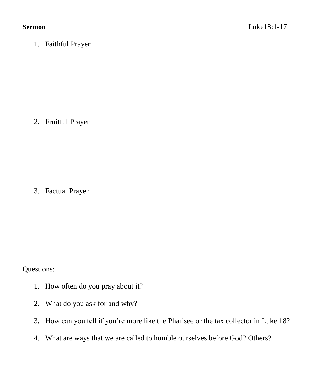1. Faithful Prayer

2. Fruitful Prayer

3. Factual Prayer

Questions:

- 1. How often do you pray about it?
- 2. What do you ask for and why?
- 3. How can you tell if you're more like the Pharisee or the tax collector in Luke 18?
- 4. What are ways that we are called to humble ourselves before God? Others?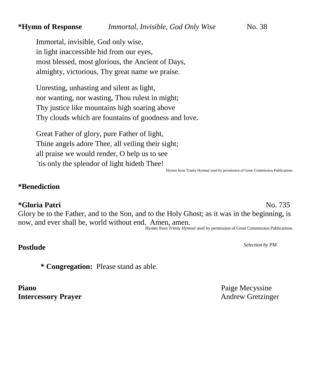Immortal, invisible, God only wise, in light inaccessible hid from our eyes, most blessed, most glorious, the Ancient of Days, almighty, victorious, Thy great name we praise.

Unresting, unhasting and silent as light, nor wanting, nor wasting, Thou rulest in might; Thy justice like mountains high soaring above Thy clouds which are fountains of goodness and love.

Great Father of glory, pure Father of light, Thine angels adore Thee, all veiling their sight; all praise we would render, O help us to see `tis only the splendor of light hideth Thee!

Hymns from Trinity Hymnal used by permission of Great Commission Publications.

#### **\*Benediction**

### **\*Gloria Patri** No. 735

Glory be to the Father, and to the Son, and to the Holy Ghost; as it was in the beginning, is now, and ever shall be, world without end. Amen, amen. Hymns from *Trinity Hymnal* used by permission of Great Commission Publications.

# **Postlude** *Selection by PM*

**\* Congregation:** Please stand as able.

**Piano** Paige Mecyssine **Intercessory Prayer** Andrew Gretzinger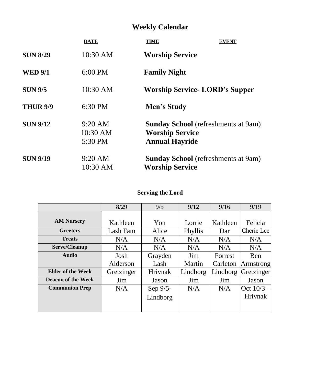# **Weekly Calendar**

|                 | <b>DATE</b>                              | <b>TIME</b><br><b>EVENT</b>                                                                   |
|-----------------|------------------------------------------|-----------------------------------------------------------------------------------------------|
| <b>SUN 8/29</b> | 10:30 AM                                 | <b>Worship Service</b>                                                                        |
| <b>WED 9/1</b>  | $6:00$ PM                                | <b>Family Night</b>                                                                           |
| <b>SUN 9/5</b>  | 10:30 AM                                 | <b>Worship Service- LORD's Supper</b>                                                         |
| <b>THUR 9/9</b> | 6:30 PM                                  | Men's Study                                                                                   |
| <b>SUN 9/12</b> | $9:20 \text{ AM}$<br>10:30 AM<br>5:30 PM | <b>Sunday School</b> (refreshments at 9am)<br><b>Worship Service</b><br><b>Annual Hayride</b> |
| <b>SUN 9/19</b> | 9:20 AM<br>10:30 AM                      | <b>Sunday School</b> (refreshments at 9am)<br><b>Worship Service</b>                          |

# **Serving the Lord**

|                           | 8/29       | 9/5      | 9/12     | 9/16     | 9/19         |
|---------------------------|------------|----------|----------|----------|--------------|
|                           |            |          |          |          |              |
| <b>AM Nurserv</b>         | Kathleen   | Yon      | Lorrie   | Kathleen | Felicia      |
| <b>Greeters</b>           | Lash Fam   | Alice    | Phyllis  | Dar      | Cherie Lee   |
| <b>Treats</b>             | N/A        | N/A      | N/A      | N/A      | N/A          |
| Serve/Cleanup             | N/A        | N/A      | N/A      | N/A      | N/A          |
| Audio                     | Josh       | Grayden  | Jim      | Forrest  | <b>B</b> en  |
|                           | Alderson   | Lash     | Martin   | Carleton | Armstrong    |
| <b>Elder of the Week</b>  | Gretzinger | Hrivnak  | Lindborg | Lindborg | Gretzinger   |
| <b>Deacon of the Week</b> | Jim        | Jason    | Jim      | Jim      | Jason        |
| <b>Communion Prep</b>     | N/A        | Sep 9/5- | N/A      | N/A      | Oct $10/3$ - |
|                           |            | Lindborg |          |          | Hrivnak      |
|                           |            |          |          |          |              |
|                           |            |          |          |          |              |